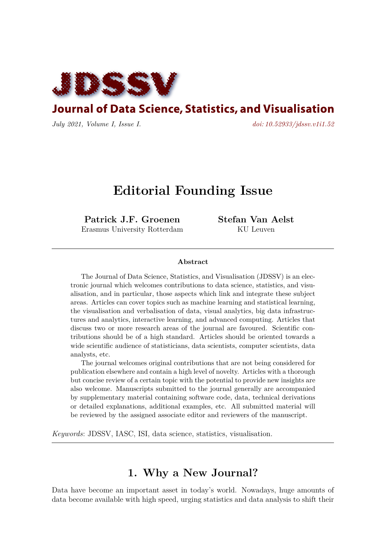

**Journal of Data Science, Statistics, and Visualisation** 

*July 2021, Volume I, Issue I. [doi: 10.52933/jdssv.v1i1.52](http://dx.doi.org/10.52933/jdssv.v1i1.52)*

# **Editorial Founding Issue**

**Patrick J.F. Groenen** Erasmus University Rotterdam **Stefan Van Aelst** KU Leuven

#### **Abstract**

The Journal of Data Science, Statistics, and Visualisation (JDSSV) is an electronic journal which welcomes contributions to data science, statistics, and visualisation, and in particular, those aspects which link and integrate these subject areas. Articles can cover topics such as machine learning and statistical learning, the visualisation and verbalisation of data, visual analytics, big data infrastructures and analytics, interactive learning, and advanced computing. Articles that discuss two or more research areas of the journal are favoured. Scientific contributions should be of a high standard. Articles should be oriented towards a wide scientific audience of statisticians, data scientists, computer scientists, data analysts, etc.

The journal welcomes original contributions that are not being considered for publication elsewhere and contain a high level of novelty. Articles with a thorough but concise review of a certain topic with the potential to provide new insights are also welcome. Manuscripts submitted to the journal generally are accompanied by supplementary material containing software code, data, technical derivations or detailed explanations, additional examples, etc. All submitted material will be reviewed by the assigned associate editor and reviewers of the manuscript.

*Keywords*: JDSSV, IASC, ISI, data science, statistics, visualisation.

# **1. Why a New Journal?**

Data have become an important asset in today's world. Nowadays, huge amounts of data become available with high speed, urging statistics and data analysis to shift their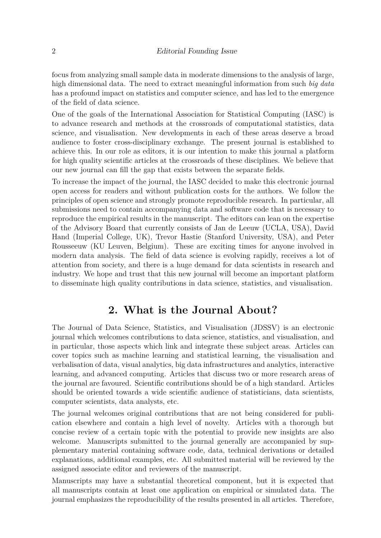focus from analyzing small sample data in moderate dimensions to the analysis of large, high dimensional data. The need to extract meaningful information from such *big data* has a profound impact on statistics and computer science, and has led to the emergence of the field of data science.

One of the goals of the International Association for Statistical Computing (IASC) is to advance research and methods at the crossroads of computational statistics, data science, and visualisation. New developments in each of these areas deserve a broad audience to foster cross-disciplinary exchange. The present journal is established to achieve this. In our role as editors, it is our intention to make this journal a platform for high quality scientific articles at the crossroads of these disciplines. We believe that our new journal can fill the gap that exists between the separate fields.

To increase the impact of the journal, the IASC decided to make this electronic journal open access for readers and without publication costs for the authors. We follow the principles of open science and strongly promote reproducible research. In particular, all submissions need to contain accompanying data and software code that is necessary to reproduce the empirical results in the manuscript. The editors can lean on the expertise of the Advisory Board that currently consists of Jan de Leeuw (UCLA, USA), David Hand (Imperial College, UK), Trevor Hastie (Stanford University, USA), and Peter Rousseeuw (KU Leuven, Belgium). These are exciting times for anyone involved in modern data analysis. The field of data science is evolving rapidly, receives a lot of attention from society, and there is a huge demand for data scientists in research and industry. We hope and trust that this new journal will become an important platform to disseminate high quality contributions in data science, statistics, and visualisation.

#### **2. What is the Journal About?**

The Journal of Data Science, Statistics, and Visualisation (JDSSV) is an electronic journal which welcomes contributions to data science, statistics, and visualisation, and in particular, those aspects which link and integrate these subject areas. Articles can cover topics such as machine learning and statistical learning, the visualisation and verbalisation of data, visual analytics, big data infrastructures and analytics, interactive learning, and advanced computing. Articles that discuss two or more research areas of the journal are favoured. Scientific contributions should be of a high standard. Articles should be oriented towards a wide scientific audience of statisticians, data scientists, computer scientists, data analysts, etc.

The journal welcomes original contributions that are not being considered for publication elsewhere and contain a high level of novelty. Articles with a thorough but concise review of a certain topic with the potential to provide new insights are also welcome. Manuscripts submitted to the journal generally are accompanied by supplementary material containing software code, data, technical derivations or detailed explanations, additional examples, etc. All submitted material will be reviewed by the assigned associate editor and reviewers of the manuscript.

Manuscripts may have a substantial theoretical component, but it is expected that all manuscripts contain at least one application on empirical or simulated data. The journal emphasizes the reproducibility of the results presented in all articles. Therefore,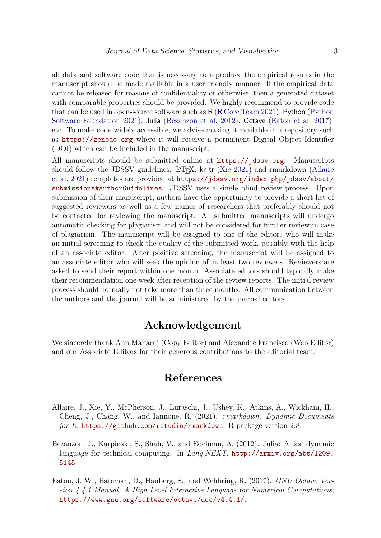all data and software code that is necessary to reproduce the empirical results in the manuscript should be made available in a user friendly manner. If the empirical data cannot be released for reasons of confidentiality or otherwise, then a generated dataset with comparable properties should be provided. We highly recommend to provide code that can be used in open-source software such as R (R [Core Team](#page-3-0) [2021\)](#page-3-0), Python [\(Python](#page-3-1) [Software Foundation](#page-3-1) [2021\)](#page-3-1), Julia [\(Bezanzon et al.](#page-2-0) [2012\)](#page-2-0), Octave [\(Eaton et al.](#page-2-1) [2017\)](#page-2-1), etc. To make code widely accessible, we advise making it available in a repository such as <https://zenodo.org> where it will receive a permanent Digital Object Identifier (DOI) which can be included in the manuscript.

All manuscripts should be submitted online at <https://jdssv.org>. Manuscripts should follow the JDSSV guidelines. L<sup>AT</sup>FX, knitr [\(Xie](#page-3-2) [2021\)](#page-3-2) and rmarkdown [\(Allaire](#page-2-2) [et al.](#page-2-2) [2021\)](#page-2-2) templates are provided at [https://jdssv.org/index.php/jdssv/about/](https://jdssv.org/index.php/jdssv/about/submissions#authorGuidelines) [submissions#authorGuidelines](https://jdssv.org/index.php/jdssv/about/submissions#authorGuidelines). JDSSV uses a single blind review process. Upon submission of their manuscript, authors have the opportunity to provide a short list of suggested reviewers as well as a few names of researchers that preferably should not be contacted for reviewing the manuscript. All submitted manuscripts will undergo automatic checking for plagiarism and will not be considered for further review in case of plagiarism. The manuscript will be assigned to one of the editors who will make an initial screening to check the quality of the submitted work, possibly with the help of an associate editor. After positive screening, the manuscript will be assigned to an associate editor who will seek the opinion of at least two reviewers. Reviewers are asked to send their report within one month. Associate editors should typically make their recommendation one week after reception of the review reports. The initial review process should normally not take more than three months. All communication between the authors and the journal will be administered by the journal editors.

### **Acknowledgement**

We sincerely thank Ann Maharaj (Copy Editor) and Alexandre Francisco (Web Editor) and our Associate Editors for their generous contributions to the editorial team.

## **References**

- <span id="page-2-2"></span>Allaire, J., Xie, Y., McPherson, J., Luraschi, J., Ushey, K., Atkins, A., Wickham, H., Cheng, J., Chang, W., and Iannone, R. (2021). *rmarkdown: Dynamic Documents for R*, <https://github.com/rstudio/rmarkdown>. R package version 2.8.
- <span id="page-2-0"></span>Bezanzon, J., Karpinski, S., Shah, V., and Edelman, A. (2012). Julia: A fast dynamic language for technical computing. In *Lang.NEXT*. [http://arxiv.org/abs/1209.](http://arxiv.org/abs/1209.5145) [5145](http://arxiv.org/abs/1209.5145).
- <span id="page-2-1"></span>Eaton, J. W., Bateman, D., Hauberg, S., and Wehbring, R. (2017). *GNU Octave Version 4.4.1 Manual: A High-Level Interactive Language for Numerical Computations*, <https://www.gnu.org/software/octave/doc/v4.4.1/>.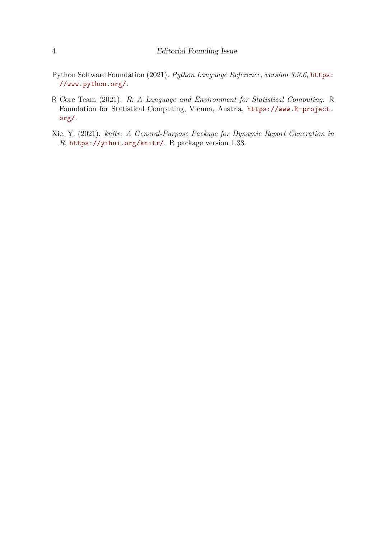- <span id="page-3-1"></span>Python Software Foundation (2021). *Python Language Reference, version 3.9.6*, [https:](https://www.python.org/) [//www.python.org/](https://www.python.org/).
- <span id="page-3-0"></span>R Core Team (2021). R*: A Language and Environment for Statistical Computing*. R Foundation for Statistical Computing, Vienna, Austria, [https://www.R-project.](https://www.R-project.org/) [org/](https://www.R-project.org/).
- <span id="page-3-2"></span>Xie, Y. (2021). *knitr: A General-Purpose Package for Dynamic Report Generation in R*, <https://yihui.org/knitr/>. R package version 1.33.